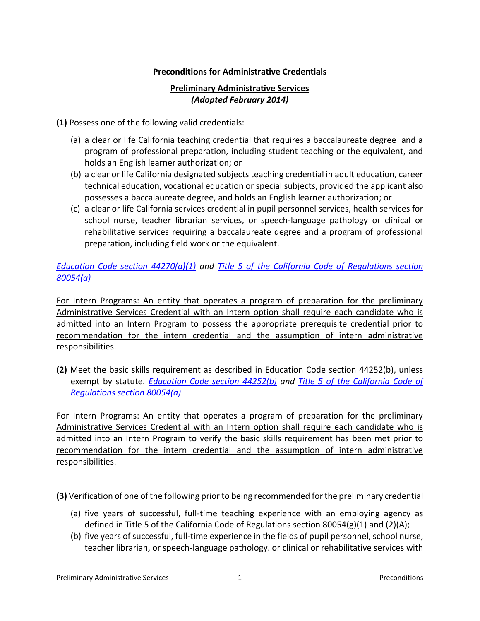## **Preconditions for Administrative Credentials**

## **Preliminary Administrative Services**  *(Adopted February 2014)*

**(1)** Possess one of the following valid credentials:

- (a) a clear or life California teaching credential that requires a baccalaureate degree and a program of professional preparation, including student teaching or the equivalent, and holds an English learner authorization; or
- (b) a clear or life California designated subjects teaching credential in adult education, career technical education, vocational education or special subjects, provided the applicant also possesses a baccalaureate degree, and holds an English learner authorization; or
- (c) a clear or life California services credential in pupil personnel services, health services for school nurse, teacher librarian services, or speech-language pathology or clinical or rehabilitative services requiring a baccalaureate degree and a program of professional preparation, including field work or the equivalent.

## *[Education Code section 44270\(a\)\(1\)](http://www.leginfo.ca.gov/cgi-bin/displaycode?section=edc&group=44001-45000&file=44250-44277) and [Title 5 of the California Code of Regulations section](http://weblinks.westlaw.com/result/default.aspx?cite=5CAADCS80054&db=1000937&findtype=L&fn=%5Ftop&pbc=DA010192&rlt=CLID%5FFQRLT199057501334&rp=%2FSearch%2Fdefault%2Ewl&rs=WEBL14%2E01&service=Find&spa=CCR%2D1000&sr=TC&vr=2%2E0)  [80054\(a\)](http://weblinks.westlaw.com/result/default.aspx?cite=5CAADCS80054&db=1000937&findtype=L&fn=%5Ftop&pbc=DA010192&rlt=CLID%5FFQRLT199057501334&rp=%2FSearch%2Fdefault%2Ewl&rs=WEBL14%2E01&service=Find&spa=CCR%2D1000&sr=TC&vr=2%2E0)*

For Intern Programs: An entity that operates a program of preparation for the preliminary Administrative Services Credential with an Intern option shall require each candidate who is admitted into an Intern Program to possess the appropriate prerequisite credential prior to recommendation for the intern credential and the assumption of intern administrative responsibilities.

 **(2)** Meet the basic skills requirement as described in Education Code section 44252(b), unless  exempt by statute. *[Education Code section 44252\(b\) a](http://www.leginfo.ca.gov/cgi-bin/displaycode?section=edc&group=44001-45000&file=44250-44277)nd [Title 5 of the California Code of](http://weblinks.westlaw.com/result/default.aspx?cite=5CAADCS80054&db=1000937&findtype=L&fn=%5Ftop&pbc=DA010192&rlt=CLID%5FFQRLT199057501334&rp=%2FSearch%2Fdefault%2Ewl&rs=WEBL14%2E01&service=Find&spa=CCR%2D1000&sr=TC&vr=2%2E0)  [Regulations section 80054\(a\)](http://weblinks.westlaw.com/result/default.aspx?cite=5CAADCS80054&db=1000937&findtype=L&fn=%5Ftop&pbc=DA010192&rlt=CLID%5FFQRLT199057501334&rp=%2FSearch%2Fdefault%2Ewl&rs=WEBL14%2E01&service=Find&spa=CCR%2D1000&sr=TC&vr=2%2E0)* 

For Intern Programs: An entity that operates a program of preparation for the preliminary Administrative Services Credential with an Intern option shall require each candidate who is admitted into an Intern Program to verify the basic skills requirement has been met prior to recommendation for the intern credential and the assumption of intern administrative responsibilities.

**(3)** Verification of one of the following prior to being recommended for the preliminary credential

- (a) five years of successful, full-time teaching experience with an employing agency as defined in Title 5 of the California Code of Regulations section 80054(g)(1) and (2)(A);
- (b) five years of successful, full-time experience in the fields of pupil personnel, school nurse, teacher librarian, or speech-language pathology. or clinical or rehabilitative services with